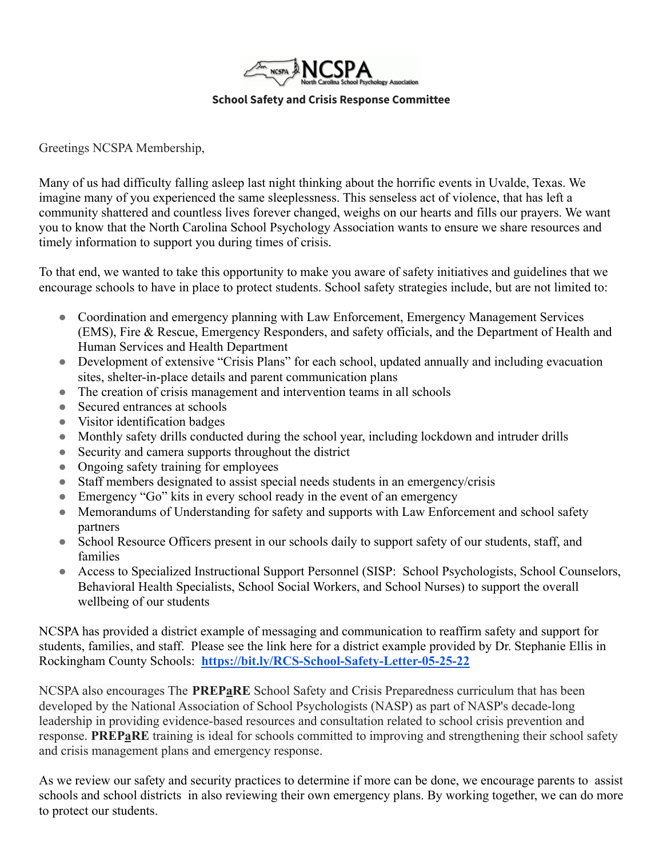

Greetings NCSPA Membership,

Many of us had difficulty falling asleep last night thinking about the horrific events in Uvalde, Texas. We imagine many of you experienced the same sleeplessness. This senseless act of violence, that has left a community shattered and countless lives forever changed, weighs on our hearts and fills our prayers. We want you to know that the North Carolina School Psychology Association wants to ensure we share resources and timely information to support you during times of crisis.

To that end, we wanted to take this opportunity to make you aware of safety initiatives and guidelines that we encourage schools to have in place to protect students. School safety strategies include, but are not limited to:

- Coordination and emergency planning with Law Enforcement, Emergency Management Services (EMS), Fire & Rescue, Emergency Responders, and safety officials, and the Department of Health and Human Services and Health Department
- Development of extensive "Crisis Plans" for each school, updated annually and including evacuation sites, shelter-in-place details and parent communication plans
- The creation of crisis management and intervention teams in all schools
- Secured entrances at schools
- Visitor identification badges
- Monthly safety drills conducted during the school year, including lockdown and intruder drills
- Security and camera supports throughout the district
- Ongoing safety training for employees
- Staff members designated to assist special needs students in an emergency/crisis
- Emergency "Go" kits in every school ready in the event of an emergency
- Memorandums of Understanding for safety and supports with Law Enforcement and school safety partners
- School Resource Officers present in our schools daily to support safety of our students, staff, and families
- Access to Specialized Instructional Support Personnel (SISP: School Psychologists, School Counselors, Behavioral Health Specialists, School Social Workers, and School Nurses) to support the overall wellbeing of our students

NCSPA has provided a district example of messaging and communication to reaffirm safety and support for students, families, and staff. Please see the link here for a district example provided by Dr. Stephanie Ellis in Rockingham County Schools: **<https://bit.ly/RCS-School-Safety-Letter-05-25-22>**

NCSPA also encourages The **PREPaRE** School Safety and Crisis Preparedness curriculum that has been developed by the National Association of School Psychologists (NASP) as part of NASP's decade-long leadership in providing evidence-based resources and consultation related to school crisis prevention and response. **PREPaRE** training is ideal for schools committed to improving and strengthening their school safety and crisis management plans and emergency response.

As we review our safety and security practices to determine if more can be done, we encourage parents to assist schools and school districts in also reviewing their own emergency plans. By working together, we can do more to protect our students.